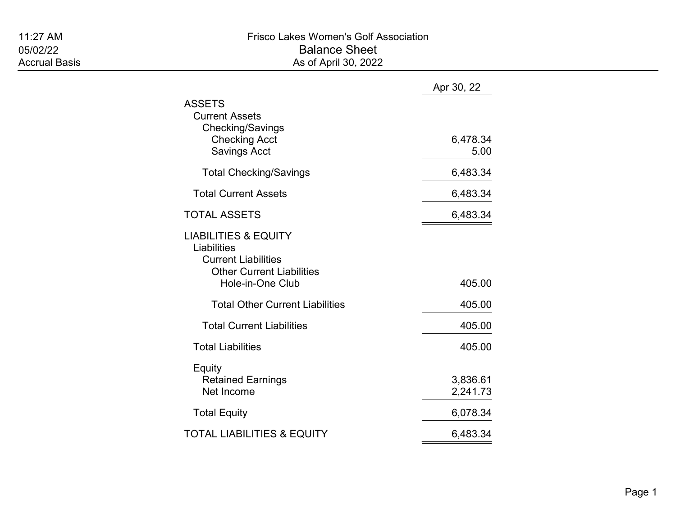|                                                                                                                                      | Apr 30, 22           |
|--------------------------------------------------------------------------------------------------------------------------------------|----------------------|
| <b>ASSETS</b><br><b>Current Assets</b><br>Checking/Savings<br><b>Checking Acct</b><br><b>Savings Acct</b>                            | 6,478.34<br>5.00     |
| <b>Total Checking/Savings</b>                                                                                                        | 6,483.34             |
| <b>Total Current Assets</b>                                                                                                          | 6,483.34             |
| <b>TOTAL ASSETS</b>                                                                                                                  | 6,483.34             |
| <b>LIABILITIES &amp; EQUITY</b><br>Liabilities<br><b>Current Liabilities</b><br><b>Other Current Liabilities</b><br>Hole-in-One Club | 405.00               |
| <b>Total Other Current Liabilities</b>                                                                                               | 405.00               |
| <b>Total Current Liabilities</b>                                                                                                     | 405.00               |
| <b>Total Liabilities</b>                                                                                                             | 405.00               |
| Equity<br><b>Retained Earnings</b><br>Net Income                                                                                     | 3,836.61<br>2,241.73 |
| <b>Total Equity</b>                                                                                                                  | 6,078.34             |
| <b>TOTAL LIABILITIES &amp; EQUITY</b>                                                                                                | 6,483.34             |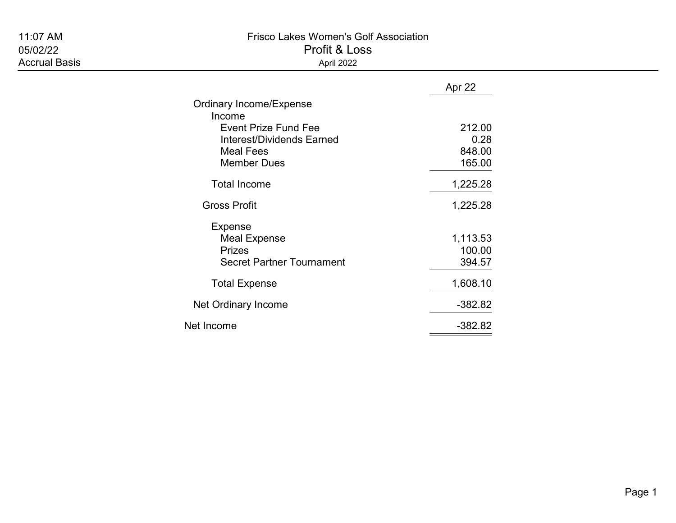## 11:07 AM Frisco Lakes Women's Golf Association

05/02/22 Profit & Loss Accrual Basis **Accrual Basis** April 2022

|  |  | יש∟ ש ווע  |  |
|--|--|------------|--|
|  |  | Anril 2022 |  |

|                                       | Apr 22    |
|---------------------------------------|-----------|
| <b>Ordinary Income/Expense</b>        |           |
| Income<br><b>Event Prize Fund Fee</b> | 212.00    |
| <b>Interest/Dividends Earned</b>      | 0.28      |
| <b>Meal Fees</b>                      | 848.00    |
| <b>Member Dues</b>                    | 165.00    |
| <b>Total Income</b>                   | 1,225.28  |
| <b>Gross Profit</b>                   | 1,225.28  |
| <b>Expense</b>                        |           |
| <b>Meal Expense</b>                   | 1,113.53  |
| <b>Prizes</b>                         | 100.00    |
| <b>Secret Partner Tournament</b>      | 394.57    |
| <b>Total Expense</b>                  | 1,608.10  |
| Net Ordinary Income                   | $-382.82$ |
| Net Income                            | $-382.82$ |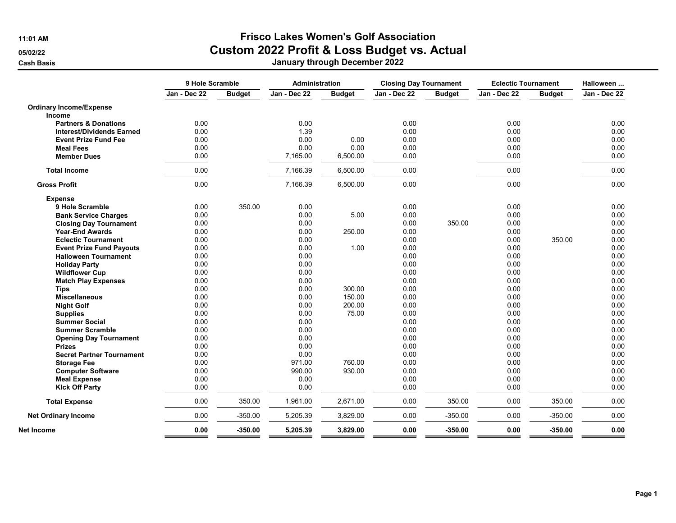## 11:01 AM Frisco Lakes Women's Golf Association

05/02/22 **Custom 2022 Profit & Loss Budget vs. Actual** 

| Jan - Dec 22<br>Jan - Dec 22<br>Jan - Dec 22<br><b>Budget</b><br>Jan - Dec 22<br><b>Budget</b><br><b>Budget</b><br><b>Budget</b><br><b>Ordinary Income/Expense</b><br><b>Income</b><br>0.00<br>0.00<br>0.00<br>0.00<br><b>Partners &amp; Donations</b><br>0.00<br><b>Interest/Dividends Earned</b><br>1.39<br>0.00<br>0.00<br>0.00<br>0.00<br>0.00<br>0.00<br>0.00<br><b>Event Prize Fund Fee</b><br>0.00<br><b>Meal Fees</b><br>0.00<br>0.00<br>0.00<br>0.00<br>0.00<br>7,165.00<br>6,500.00<br>0.00<br>0.00<br><b>Member Dues</b><br><b>Total Income</b><br>0.00<br>7,166.39<br>6,500.00<br>0.00<br>0.00<br>0.00<br>7,166.39<br>6,500.00<br>0.00<br>0.00<br><b>Gross Profit</b><br><b>Expense</b><br>0.00<br>350.00<br>0.00<br>0.00<br>0.00<br>9 Hole Scramble<br>0.00<br>0.00<br>5.00<br>0.00<br>0.00<br><b>Bank Service Charges</b><br>0.00<br>0.00<br>0.00<br>350.00<br>0.00<br><b>Closing Day Tournament</b><br><b>Year-End Awards</b><br>0.00<br>0.00<br>250.00<br>0.00<br>0.00<br>0.00<br>0.00<br>0.00<br>0.00<br><b>Eclectic Tournament</b><br>0.00<br>1.00<br>0.00<br>0.00<br>0.00<br><b>Event Prize Fund Payouts</b><br>0.00<br>0.00<br>0.00<br>0.00<br><b>Halloween Tournament</b><br>0.00<br>0.00<br>0.00<br>0.00<br><b>Holiday Party</b><br><b>Wildflower Cup</b><br>0.00<br>0.00<br>0.00<br>0.00<br>0.00<br>0.00<br>0.00<br>0.00<br><b>Match Play Expenses</b><br>0.00<br>300.00<br>0.00<br>0.00<br>0.00<br><b>Tips</b><br><b>Miscellaneous</b><br>0.00<br>0.00<br>150.00<br>0.00<br>0.00<br>0.00<br>0.00<br>200.00<br>0.00<br>0.00<br><b>Night Golf</b><br>0.00<br>0.00<br>75.00<br>0.00<br>0.00<br><b>Supplies</b><br>0.00<br>0.00<br>0.00<br>0.00<br><b>Summer Social</b><br>0.00<br>0.00<br>0.00<br>0.00<br><b>Summer Scramble</b><br>0.00<br>0.00<br>0.00<br>0.00<br><b>Opening Day Tournament</b><br>0.00<br>0.00<br>0.00<br>0.00<br><b>Prizes</b><br>0.00<br>0.00<br>0.00<br><b>Secret Partner Tournament</b><br>0.00<br>0.00<br>971.00<br>760.00<br>0.00<br>0.00<br><b>Storage Fee</b><br>0.00<br>990.00<br>930.00<br>0.00<br>0.00<br><b>Computer Software</b><br>0.00<br>0.00<br>0.00<br>0.00<br><b>Meal Expense</b><br>0.00<br>0.00<br>0.00<br><b>Klck Off Party</b><br>0.00<br>0.00<br>350.00<br>1,961.00<br>2,671.00<br>0.00<br>350.00<br>0.00<br><b>Total Expense</b><br>0.00<br>$-350.00$<br>3,829.00<br>0.00<br>$-350.00$<br>0.00<br>5,205.39<br><b>Net Ordinary Income</b><br>Net Income | 9 Hole Scramble |           |          | <b>Administration</b><br><b>Closing Day Tournament</b> |      |           | <b>Eclectic Tournament</b> |           | Halloween    |  |
|-------------------------------------------------------------------------------------------------------------------------------------------------------------------------------------------------------------------------------------------------------------------------------------------------------------------------------------------------------------------------------------------------------------------------------------------------------------------------------------------------------------------------------------------------------------------------------------------------------------------------------------------------------------------------------------------------------------------------------------------------------------------------------------------------------------------------------------------------------------------------------------------------------------------------------------------------------------------------------------------------------------------------------------------------------------------------------------------------------------------------------------------------------------------------------------------------------------------------------------------------------------------------------------------------------------------------------------------------------------------------------------------------------------------------------------------------------------------------------------------------------------------------------------------------------------------------------------------------------------------------------------------------------------------------------------------------------------------------------------------------------------------------------------------------------------------------------------------------------------------------------------------------------------------------------------------------------------------------------------------------------------------------------------------------------------------------------------------------------------------------------------------------------------------------------------------------------------------------------------------------------------------------------------------------------------------------------------------------------------------------------------------------------------------------|-----------------|-----------|----------|--------------------------------------------------------|------|-----------|----------------------------|-----------|--------------|--|
|                                                                                                                                                                                                                                                                                                                                                                                                                                                                                                                                                                                                                                                                                                                                                                                                                                                                                                                                                                                                                                                                                                                                                                                                                                                                                                                                                                                                                                                                                                                                                                                                                                                                                                                                                                                                                                                                                                                                                                                                                                                                                                                                                                                                                                                                                                                                                                                                                         |                 |           |          |                                                        |      |           |                            |           | Jan - Dec 22 |  |
|                                                                                                                                                                                                                                                                                                                                                                                                                                                                                                                                                                                                                                                                                                                                                                                                                                                                                                                                                                                                                                                                                                                                                                                                                                                                                                                                                                                                                                                                                                                                                                                                                                                                                                                                                                                                                                                                                                                                                                                                                                                                                                                                                                                                                                                                                                                                                                                                                         |                 |           |          |                                                        |      |           |                            |           |              |  |
|                                                                                                                                                                                                                                                                                                                                                                                                                                                                                                                                                                                                                                                                                                                                                                                                                                                                                                                                                                                                                                                                                                                                                                                                                                                                                                                                                                                                                                                                                                                                                                                                                                                                                                                                                                                                                                                                                                                                                                                                                                                                                                                                                                                                                                                                                                                                                                                                                         |                 |           |          |                                                        |      |           |                            |           |              |  |
|                                                                                                                                                                                                                                                                                                                                                                                                                                                                                                                                                                                                                                                                                                                                                                                                                                                                                                                                                                                                                                                                                                                                                                                                                                                                                                                                                                                                                                                                                                                                                                                                                                                                                                                                                                                                                                                                                                                                                                                                                                                                                                                                                                                                                                                                                                                                                                                                                         |                 |           |          |                                                        |      |           |                            |           | 0.00         |  |
|                                                                                                                                                                                                                                                                                                                                                                                                                                                                                                                                                                                                                                                                                                                                                                                                                                                                                                                                                                                                                                                                                                                                                                                                                                                                                                                                                                                                                                                                                                                                                                                                                                                                                                                                                                                                                                                                                                                                                                                                                                                                                                                                                                                                                                                                                                                                                                                                                         |                 |           |          |                                                        |      |           |                            |           | 0.00         |  |
|                                                                                                                                                                                                                                                                                                                                                                                                                                                                                                                                                                                                                                                                                                                                                                                                                                                                                                                                                                                                                                                                                                                                                                                                                                                                                                                                                                                                                                                                                                                                                                                                                                                                                                                                                                                                                                                                                                                                                                                                                                                                                                                                                                                                                                                                                                                                                                                                                         |                 |           |          |                                                        |      |           |                            |           | 0.00         |  |
|                                                                                                                                                                                                                                                                                                                                                                                                                                                                                                                                                                                                                                                                                                                                                                                                                                                                                                                                                                                                                                                                                                                                                                                                                                                                                                                                                                                                                                                                                                                                                                                                                                                                                                                                                                                                                                                                                                                                                                                                                                                                                                                                                                                                                                                                                                                                                                                                                         |                 |           |          |                                                        |      |           |                            |           | 0.00         |  |
|                                                                                                                                                                                                                                                                                                                                                                                                                                                                                                                                                                                                                                                                                                                                                                                                                                                                                                                                                                                                                                                                                                                                                                                                                                                                                                                                                                                                                                                                                                                                                                                                                                                                                                                                                                                                                                                                                                                                                                                                                                                                                                                                                                                                                                                                                                                                                                                                                         |                 |           |          |                                                        |      |           |                            |           | 0.00         |  |
|                                                                                                                                                                                                                                                                                                                                                                                                                                                                                                                                                                                                                                                                                                                                                                                                                                                                                                                                                                                                                                                                                                                                                                                                                                                                                                                                                                                                                                                                                                                                                                                                                                                                                                                                                                                                                                                                                                                                                                                                                                                                                                                                                                                                                                                                                                                                                                                                                         |                 |           |          |                                                        |      |           |                            |           | 0.00         |  |
|                                                                                                                                                                                                                                                                                                                                                                                                                                                                                                                                                                                                                                                                                                                                                                                                                                                                                                                                                                                                                                                                                                                                                                                                                                                                                                                                                                                                                                                                                                                                                                                                                                                                                                                                                                                                                                                                                                                                                                                                                                                                                                                                                                                                                                                                                                                                                                                                                         |                 |           |          |                                                        |      |           |                            |           | 0.00         |  |
|                                                                                                                                                                                                                                                                                                                                                                                                                                                                                                                                                                                                                                                                                                                                                                                                                                                                                                                                                                                                                                                                                                                                                                                                                                                                                                                                                                                                                                                                                                                                                                                                                                                                                                                                                                                                                                                                                                                                                                                                                                                                                                                                                                                                                                                                                                                                                                                                                         |                 |           |          |                                                        |      |           |                            |           |              |  |
|                                                                                                                                                                                                                                                                                                                                                                                                                                                                                                                                                                                                                                                                                                                                                                                                                                                                                                                                                                                                                                                                                                                                                                                                                                                                                                                                                                                                                                                                                                                                                                                                                                                                                                                                                                                                                                                                                                                                                                                                                                                                                                                                                                                                                                                                                                                                                                                                                         |                 |           |          |                                                        |      |           |                            |           | 0.00         |  |
|                                                                                                                                                                                                                                                                                                                                                                                                                                                                                                                                                                                                                                                                                                                                                                                                                                                                                                                                                                                                                                                                                                                                                                                                                                                                                                                                                                                                                                                                                                                                                                                                                                                                                                                                                                                                                                                                                                                                                                                                                                                                                                                                                                                                                                                                                                                                                                                                                         |                 |           |          |                                                        |      |           |                            |           | 0.00         |  |
|                                                                                                                                                                                                                                                                                                                                                                                                                                                                                                                                                                                                                                                                                                                                                                                                                                                                                                                                                                                                                                                                                                                                                                                                                                                                                                                                                                                                                                                                                                                                                                                                                                                                                                                                                                                                                                                                                                                                                                                                                                                                                                                                                                                                                                                                                                                                                                                                                         |                 |           |          |                                                        |      |           |                            |           | 0.00         |  |
|                                                                                                                                                                                                                                                                                                                                                                                                                                                                                                                                                                                                                                                                                                                                                                                                                                                                                                                                                                                                                                                                                                                                                                                                                                                                                                                                                                                                                                                                                                                                                                                                                                                                                                                                                                                                                                                                                                                                                                                                                                                                                                                                                                                                                                                                                                                                                                                                                         |                 |           |          |                                                        |      |           |                            |           | 0.00         |  |
|                                                                                                                                                                                                                                                                                                                                                                                                                                                                                                                                                                                                                                                                                                                                                                                                                                                                                                                                                                                                                                                                                                                                                                                                                                                                                                                                                                                                                                                                                                                                                                                                                                                                                                                                                                                                                                                                                                                                                                                                                                                                                                                                                                                                                                                                                                                                                                                                                         |                 |           |          |                                                        |      |           |                            | 350.00    | 0.00         |  |
|                                                                                                                                                                                                                                                                                                                                                                                                                                                                                                                                                                                                                                                                                                                                                                                                                                                                                                                                                                                                                                                                                                                                                                                                                                                                                                                                                                                                                                                                                                                                                                                                                                                                                                                                                                                                                                                                                                                                                                                                                                                                                                                                                                                                                                                                                                                                                                                                                         |                 |           |          |                                                        |      |           |                            |           | 0.00         |  |
|                                                                                                                                                                                                                                                                                                                                                                                                                                                                                                                                                                                                                                                                                                                                                                                                                                                                                                                                                                                                                                                                                                                                                                                                                                                                                                                                                                                                                                                                                                                                                                                                                                                                                                                                                                                                                                                                                                                                                                                                                                                                                                                                                                                                                                                                                                                                                                                                                         |                 |           |          |                                                        |      |           |                            |           | 0.00         |  |
|                                                                                                                                                                                                                                                                                                                                                                                                                                                                                                                                                                                                                                                                                                                                                                                                                                                                                                                                                                                                                                                                                                                                                                                                                                                                                                                                                                                                                                                                                                                                                                                                                                                                                                                                                                                                                                                                                                                                                                                                                                                                                                                                                                                                                                                                                                                                                                                                                         |                 |           |          |                                                        |      |           |                            |           | 0.00         |  |
|                                                                                                                                                                                                                                                                                                                                                                                                                                                                                                                                                                                                                                                                                                                                                                                                                                                                                                                                                                                                                                                                                                                                                                                                                                                                                                                                                                                                                                                                                                                                                                                                                                                                                                                                                                                                                                                                                                                                                                                                                                                                                                                                                                                                                                                                                                                                                                                                                         |                 |           |          |                                                        |      |           |                            |           | 0.00         |  |
|                                                                                                                                                                                                                                                                                                                                                                                                                                                                                                                                                                                                                                                                                                                                                                                                                                                                                                                                                                                                                                                                                                                                                                                                                                                                                                                                                                                                                                                                                                                                                                                                                                                                                                                                                                                                                                                                                                                                                                                                                                                                                                                                                                                                                                                                                                                                                                                                                         |                 |           |          |                                                        |      |           |                            |           | 0.00         |  |
|                                                                                                                                                                                                                                                                                                                                                                                                                                                                                                                                                                                                                                                                                                                                                                                                                                                                                                                                                                                                                                                                                                                                                                                                                                                                                                                                                                                                                                                                                                                                                                                                                                                                                                                                                                                                                                                                                                                                                                                                                                                                                                                                                                                                                                                                                                                                                                                                                         |                 |           |          |                                                        |      |           |                            |           | 0.00         |  |
|                                                                                                                                                                                                                                                                                                                                                                                                                                                                                                                                                                                                                                                                                                                                                                                                                                                                                                                                                                                                                                                                                                                                                                                                                                                                                                                                                                                                                                                                                                                                                                                                                                                                                                                                                                                                                                                                                                                                                                                                                                                                                                                                                                                                                                                                                                                                                                                                                         |                 |           |          |                                                        |      |           |                            |           | 0.00         |  |
|                                                                                                                                                                                                                                                                                                                                                                                                                                                                                                                                                                                                                                                                                                                                                                                                                                                                                                                                                                                                                                                                                                                                                                                                                                                                                                                                                                                                                                                                                                                                                                                                                                                                                                                                                                                                                                                                                                                                                                                                                                                                                                                                                                                                                                                                                                                                                                                                                         |                 |           |          |                                                        |      |           |                            |           | 0.00         |  |
|                                                                                                                                                                                                                                                                                                                                                                                                                                                                                                                                                                                                                                                                                                                                                                                                                                                                                                                                                                                                                                                                                                                                                                                                                                                                                                                                                                                                                                                                                                                                                                                                                                                                                                                                                                                                                                                                                                                                                                                                                                                                                                                                                                                                                                                                                                                                                                                                                         |                 |           |          |                                                        |      |           |                            |           | 0.00         |  |
|                                                                                                                                                                                                                                                                                                                                                                                                                                                                                                                                                                                                                                                                                                                                                                                                                                                                                                                                                                                                                                                                                                                                                                                                                                                                                                                                                                                                                                                                                                                                                                                                                                                                                                                                                                                                                                                                                                                                                                                                                                                                                                                                                                                                                                                                                                                                                                                                                         |                 |           |          |                                                        |      |           |                            |           | 0.00         |  |
|                                                                                                                                                                                                                                                                                                                                                                                                                                                                                                                                                                                                                                                                                                                                                                                                                                                                                                                                                                                                                                                                                                                                                                                                                                                                                                                                                                                                                                                                                                                                                                                                                                                                                                                                                                                                                                                                                                                                                                                                                                                                                                                                                                                                                                                                                                                                                                                                                         |                 |           |          |                                                        |      |           |                            |           | 0.00         |  |
|                                                                                                                                                                                                                                                                                                                                                                                                                                                                                                                                                                                                                                                                                                                                                                                                                                                                                                                                                                                                                                                                                                                                                                                                                                                                                                                                                                                                                                                                                                                                                                                                                                                                                                                                                                                                                                                                                                                                                                                                                                                                                                                                                                                                                                                                                                                                                                                                                         |                 |           |          |                                                        |      |           |                            |           | 0.00         |  |
|                                                                                                                                                                                                                                                                                                                                                                                                                                                                                                                                                                                                                                                                                                                                                                                                                                                                                                                                                                                                                                                                                                                                                                                                                                                                                                                                                                                                                                                                                                                                                                                                                                                                                                                                                                                                                                                                                                                                                                                                                                                                                                                                                                                                                                                                                                                                                                                                                         |                 |           |          |                                                        |      |           |                            |           | 0.00         |  |
|                                                                                                                                                                                                                                                                                                                                                                                                                                                                                                                                                                                                                                                                                                                                                                                                                                                                                                                                                                                                                                                                                                                                                                                                                                                                                                                                                                                                                                                                                                                                                                                                                                                                                                                                                                                                                                                                                                                                                                                                                                                                                                                                                                                                                                                                                                                                                                                                                         |                 |           |          |                                                        |      |           |                            |           | 0.00         |  |
|                                                                                                                                                                                                                                                                                                                                                                                                                                                                                                                                                                                                                                                                                                                                                                                                                                                                                                                                                                                                                                                                                                                                                                                                                                                                                                                                                                                                                                                                                                                                                                                                                                                                                                                                                                                                                                                                                                                                                                                                                                                                                                                                                                                                                                                                                                                                                                                                                         |                 |           |          |                                                        |      |           |                            |           | 0.00         |  |
|                                                                                                                                                                                                                                                                                                                                                                                                                                                                                                                                                                                                                                                                                                                                                                                                                                                                                                                                                                                                                                                                                                                                                                                                                                                                                                                                                                                                                                                                                                                                                                                                                                                                                                                                                                                                                                                                                                                                                                                                                                                                                                                                                                                                                                                                                                                                                                                                                         |                 |           |          |                                                        |      |           |                            |           | 0.00         |  |
|                                                                                                                                                                                                                                                                                                                                                                                                                                                                                                                                                                                                                                                                                                                                                                                                                                                                                                                                                                                                                                                                                                                                                                                                                                                                                                                                                                                                                                                                                                                                                                                                                                                                                                                                                                                                                                                                                                                                                                                                                                                                                                                                                                                                                                                                                                                                                                                                                         |                 |           |          |                                                        |      |           |                            |           | 0.00         |  |
|                                                                                                                                                                                                                                                                                                                                                                                                                                                                                                                                                                                                                                                                                                                                                                                                                                                                                                                                                                                                                                                                                                                                                                                                                                                                                                                                                                                                                                                                                                                                                                                                                                                                                                                                                                                                                                                                                                                                                                                                                                                                                                                                                                                                                                                                                                                                                                                                                         |                 |           |          |                                                        |      |           |                            |           | 0.00         |  |
|                                                                                                                                                                                                                                                                                                                                                                                                                                                                                                                                                                                                                                                                                                                                                                                                                                                                                                                                                                                                                                                                                                                                                                                                                                                                                                                                                                                                                                                                                                                                                                                                                                                                                                                                                                                                                                                                                                                                                                                                                                                                                                                                                                                                                                                                                                                                                                                                                         |                 |           |          |                                                        |      |           |                            | 350.00    | 0.00         |  |
|                                                                                                                                                                                                                                                                                                                                                                                                                                                                                                                                                                                                                                                                                                                                                                                                                                                                                                                                                                                                                                                                                                                                                                                                                                                                                                                                                                                                                                                                                                                                                                                                                                                                                                                                                                                                                                                                                                                                                                                                                                                                                                                                                                                                                                                                                                                                                                                                                         |                 |           |          |                                                        |      |           |                            | $-350.00$ | 0.00         |  |
|                                                                                                                                                                                                                                                                                                                                                                                                                                                                                                                                                                                                                                                                                                                                                                                                                                                                                                                                                                                                                                                                                                                                                                                                                                                                                                                                                                                                                                                                                                                                                                                                                                                                                                                                                                                                                                                                                                                                                                                                                                                                                                                                                                                                                                                                                                                                                                                                                         | 0.00            | $-350.00$ | 5,205.39 | 3,829.00                                               | 0.00 | $-350.00$ | 0.00                       | $-350.00$ | 0.00         |  |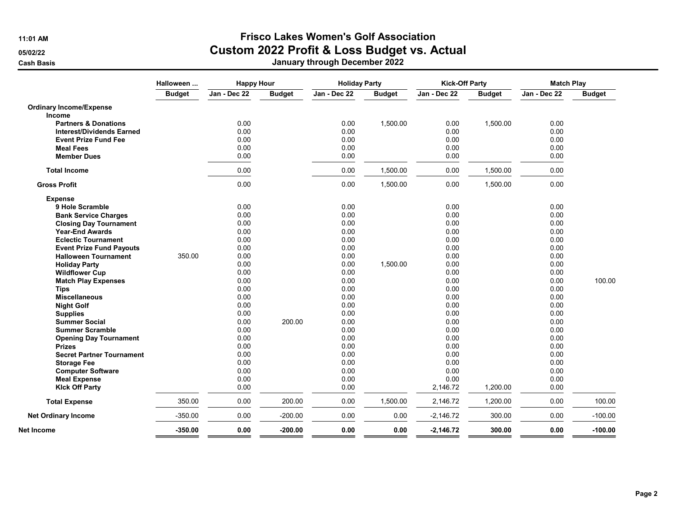### 11:01 AM Frisco Lakes Women's Golf Association 05/02/22 **Custom 2022 Profit & Loss Budget vs. Actual**

|                                  | Halloween     | <b>Happy Hour</b><br><b>Holiday Party</b> |               |              | <b>Kick-Off Party</b> |              | <b>Match Play</b> |              |               |
|----------------------------------|---------------|-------------------------------------------|---------------|--------------|-----------------------|--------------|-------------------|--------------|---------------|
|                                  | <b>Budget</b> | Jan - Dec 22                              | <b>Budget</b> | Jan - Dec 22 | <b>Budget</b>         | Jan - Dec 22 | <b>Budget</b>     | Jan - Dec 22 | <b>Budget</b> |
| <b>Ordinary Income/Expense</b>   |               |                                           |               |              |                       |              |                   |              |               |
| Income                           |               |                                           |               |              |                       |              |                   |              |               |
| <b>Partners &amp; Donations</b>  |               | 0.00                                      |               | 0.00         | 1,500.00              | 0.00         | 1,500.00          | 0.00         |               |
| <b>Interest/Dividends Earned</b> |               | 0.00                                      |               | 0.00         |                       | 0.00         |                   | 0.00         |               |
| <b>Event Prize Fund Fee</b>      |               | 0.00                                      |               | 0.00         |                       | 0.00         |                   | 0.00         |               |
| <b>Meal Fees</b>                 |               | 0.00                                      |               | 0.00         |                       | 0.00         |                   | 0.00         |               |
| <b>Member Dues</b>               |               | 0.00                                      |               | 0.00         |                       | 0.00         |                   | 0.00         |               |
| <b>Total Income</b>              |               | 0.00                                      |               | 0.00         | 1,500.00              | 0.00         | 1,500.00          | 0.00         |               |
| <b>Gross Profit</b>              |               | 0.00                                      |               | 0.00         | 1,500.00              | 0.00         | 1,500.00          | 0.00         |               |
| <b>Expense</b>                   |               |                                           |               |              |                       |              |                   |              |               |
| 9 Hole Scramble                  |               | 0.00                                      |               | 0.00         |                       | 0.00         |                   | 0.00         |               |
| <b>Bank Service Charges</b>      |               | 0.00                                      |               | 0.00         |                       | 0.00         |                   | 0.00         |               |
| <b>Closing Day Tournament</b>    |               | 0.00                                      |               | 0.00         |                       | 0.00         |                   | 0.00         |               |
| <b>Year-End Awards</b>           |               | 0.00                                      |               | 0.00         |                       | 0.00         |                   | 0.00         |               |
| <b>Eclectic Tournament</b>       |               | 0.00                                      |               | 0.00         |                       | 0.00         |                   | 0.00         |               |
| <b>Event Prize Fund Payouts</b>  |               | 0.00                                      |               | 0.00         |                       | 0.00         |                   | 0.00         |               |
| <b>Halloween Tournament</b>      | 350.00        | 0.00                                      |               | 0.00         |                       | 0.00         |                   | 0.00         |               |
| <b>Holiday Party</b>             |               | 0.00                                      |               | 0.00         | 1,500.00              | 0.00         |                   | 0.00         |               |
| <b>Wildflower Cup</b>            |               | 0.00                                      |               | 0.00         |                       | 0.00         |                   | 0.00         |               |
| <b>Match Play Expenses</b>       |               | 0.00                                      |               | 0.00         |                       | 0.00         |                   | 0.00         | 100.00        |
| <b>Tips</b>                      |               | 0.00                                      |               | 0.00         |                       | 0.00         |                   | 0.00         |               |
| <b>Miscellaneous</b>             |               | 0.00                                      |               | 0.00         |                       | 0.00         |                   | 0.00         |               |
| <b>Night Golf</b>                |               | 0.00                                      |               | 0.00         |                       | 0.00         |                   | 0.00         |               |
| <b>Supplies</b>                  |               | 0.00                                      |               | 0.00         |                       | 0.00         |                   | 0.00         |               |
| <b>Summer Social</b>             |               | 0.00                                      | 200.00        | 0.00         |                       | 0.00         |                   | 0.00         |               |
| <b>Summer Scramble</b>           |               | 0.00                                      |               | 0.00         |                       | 0.00         |                   | 0.00         |               |
| <b>Opening Day Tournament</b>    |               | 0.00                                      |               | 0.00         |                       | 0.00         |                   | 0.00         |               |
| <b>Prizes</b>                    |               | 0.00                                      |               | 0.00         |                       | 0.00         |                   | 0.00         |               |
| <b>Secret Partner Tournament</b> |               | 0.00                                      |               | 0.00         |                       | 0.00         |                   | 0.00         |               |
| <b>Storage Fee</b>               |               | 0.00                                      |               | 0.00         |                       | 0.00         |                   | 0.00         |               |
| <b>Computer Software</b>         |               | 0.00                                      |               | 0.00         |                       | 0.00         |                   | 0.00         |               |
| <b>Meal Expense</b>              |               | 0.00                                      |               | 0.00         |                       | 0.00         |                   | 0.00         |               |
| <b>Kick Off Party</b>            |               | 0.00                                      |               | 0.00         |                       | 2,146.72     | 1,200.00          | 0.00         |               |
| <b>Total Expense</b>             | 350.00        | 0.00                                      | 200.00        | 0.00         | 1,500.00              | 2,146.72     | 1,200.00          | 0.00         | 100.00        |
| <b>Net Ordinary Income</b>       | $-350.00$     | 0.00                                      | $-200.00$     | 0.00         | 0.00                  | $-2,146.72$  | 300.00            | 0.00         | $-100.00$     |
| Net Income                       | $-350.00$     | 0.00                                      | $-200.00$     | 0.00         | 0.00                  | $-2,146.72$  | 300.00            | 0.00         | $-100.00$     |
|                                  |               |                                           |               |              |                       |              |                   |              |               |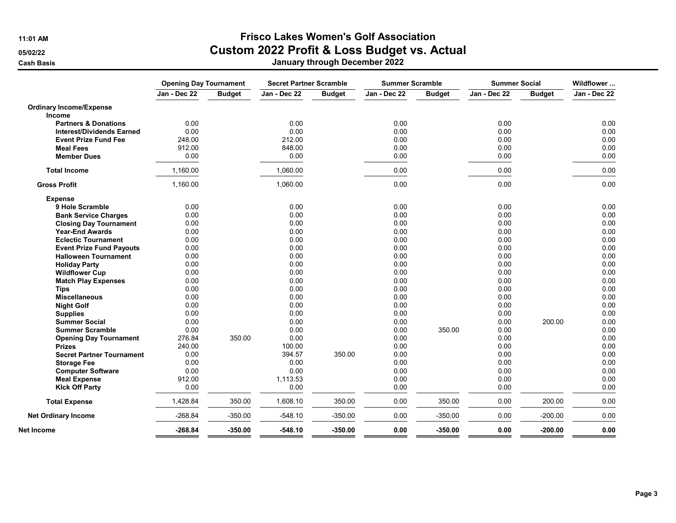# 11:01 AM Frisco Lakes Women's Golf Association

05/02/22 **Custom 2022 Profit & Loss Budget vs. Actual** 

|                                  | <b>Opening Day Tournament</b> |               | <b>Secret Partner Scramble</b> |               |              | <b>Summer Scramble</b> |              | <b>Summer Social</b> |              |
|----------------------------------|-------------------------------|---------------|--------------------------------|---------------|--------------|------------------------|--------------|----------------------|--------------|
|                                  | Jan - Dec 22                  | <b>Budget</b> | Jan - Dec 22                   | <b>Budget</b> | Jan - Dec 22 | <b>Budget</b>          | Jan - Dec 22 | <b>Budget</b>        | Jan - Dec 22 |
| <b>Ordinary Income/Expense</b>   |                               |               |                                |               |              |                        |              |                      |              |
| <b>Income</b>                    |                               |               |                                |               |              |                        |              |                      |              |
| <b>Partners &amp; Donations</b>  | 0.00                          |               | 0.00                           |               | 0.00         |                        | 0.00         |                      | 0.00         |
| <b>Interest/Dividends Earned</b> | 0.00                          |               | 0.00                           |               | 0.00         |                        | 0.00         |                      | 0.00         |
| <b>Event Prize Fund Fee</b>      | 248.00                        |               | 212.00                         |               | 0.00         |                        | 0.00         |                      | 0.00         |
| <b>Meal Fees</b>                 | 912.00                        |               | 848.00                         |               | 0.00         |                        | 0.00         |                      | 0.00         |
| <b>Member Dues</b>               | 0.00                          |               | 0.00                           |               | 0.00         |                        | 0.00         |                      | 0.00         |
| <b>Total Income</b>              | 1,160.00                      |               | 1,060.00                       |               | 0.00         |                        | 0.00         |                      | 0.00         |
| <b>Gross Profit</b>              | 1,160.00                      |               | 1,060.00                       |               | 0.00         |                        | 0.00         |                      | 0.00         |
| <b>Expense</b>                   |                               |               |                                |               |              |                        |              |                      |              |
| 9 Hole Scramble                  | 0.00                          |               | 0.00                           |               | 0.00         |                        | 0.00         |                      | 0.00         |
| <b>Bank Service Charges</b>      | 0.00                          |               | 0.00                           |               | 0.00         |                        | 0.00         |                      | 0.00         |
| <b>Closing Day Tournament</b>    | 0.00                          |               | 0.00                           |               | 0.00         |                        | 0.00         |                      | 0.00         |
| <b>Year-End Awards</b>           | 0.00                          |               | 0.00                           |               | 0.00         |                        | 0.00         |                      | 0.00         |
| <b>Eclectic Tournament</b>       | 0.00                          |               | 0.00                           |               | 0.00         |                        | 0.00         |                      | 0.00         |
| <b>Event Prize Fund Payouts</b>  | 0.00                          |               | 0.00                           |               | 0.00         |                        | 0.00         |                      | 0.00         |
| <b>Halloween Tournament</b>      | 0.00                          |               | 0.00                           |               | 0.00         |                        | 0.00         |                      | 0.00         |
| <b>Holiday Party</b>             | 0.00                          |               | 0.00                           |               | 0.00         |                        | 0.00         |                      | 0.00         |
| <b>Wildflower Cup</b>            | 0.00                          |               | 0.00                           |               | 0.00         |                        | 0.00         |                      | 0.00         |
| <b>Match Play Expenses</b>       | 0.00                          |               | 0.00                           |               | 0.00         |                        | 0.00         |                      | 0.00         |
| <b>Tips</b>                      | 0.00                          |               | 0.00                           |               | 0.00         |                        | 0.00         |                      | 0.00         |
| <b>Miscellaneous</b>             | 0.00                          |               | 0.00                           |               | 0.00         |                        | 0.00         |                      | 0.00         |
| <b>Night Golf</b>                | 0.00                          |               | 0.00                           |               | 0.00         |                        | 0.00         |                      | 0.00         |
| <b>Supplies</b>                  | 0.00                          |               | 0.00                           |               | 0.00         |                        | 0.00         |                      | 0.00         |
| <b>Summer Social</b>             | 0.00                          |               | 0.00                           |               | 0.00         |                        | 0.00         | 200.00               | 0.00         |
| <b>Summer Scramble</b>           | 0.00                          |               | 0.00                           |               | 0.00         | 350.00                 | 0.00         |                      | 0.00         |
| <b>Opening Day Tournament</b>    | 276.84                        | 350.00        | 0.00                           |               | 0.00         |                        | 0.00         |                      | 0.00         |
| <b>Prizes</b>                    | 240.00                        |               | 100.00                         |               | 0.00         |                        | 0.00         |                      | 0.00         |
| <b>Secret Partner Tournament</b> | 0.00                          |               | 394.57                         | 350.00        | 0.00         |                        | 0.00         |                      | 0.00         |
| <b>Storage Fee</b>               | 0.00                          |               | 0.00                           |               | 0.00         |                        | 0.00         |                      | 0.00         |
| <b>Computer Software</b>         | 0.00                          |               | 0.00                           |               | 0.00         |                        | 0.00         |                      | 0.00         |
| <b>Meal Expense</b>              | 912.00                        |               | 1,113.53                       |               | 0.00         |                        | 0.00         |                      | 0.00         |
| <b>Kick Off Party</b>            | 0.00                          |               | 0.00                           |               | 0.00         |                        | 0.00         |                      | 0.00         |
| <b>Total Expense</b>             | 1,428.84                      | 350.00        | 1,608.10                       | 350.00        | 0.00         | 350.00                 | 0.00         | 200.00               | 0.00         |
| <b>Net Ordinary Income</b>       | $-268.84$                     | $-350.00$     | $-548.10$                      | $-350.00$     | 0.00         | $-350.00$              | 0.00         | $-200.00$            | 0.00         |
| Net Income                       | $-268.84$                     | $-350.00$     | $-548.10$                      | $-350.00$     | 0.00         | $-350.00$              | 0.00         | $-200.00$            | 0.00         |